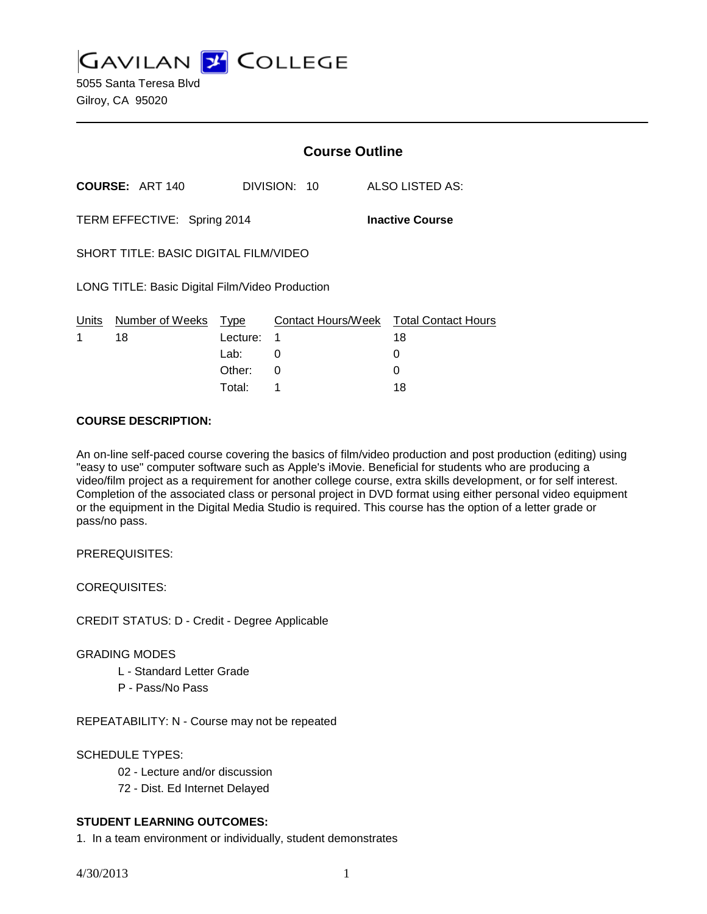**GAVILAN J' COLLEGE** 5055 Santa Teresa Blvd Gilroy, CA 95020

|                                                       |                        | <b>Course Outline</b> |              |  |                                              |
|-------------------------------------------------------|------------------------|-----------------------|--------------|--|----------------------------------------------|
|                                                       | <b>COURSE: ART 140</b> |                       | DIVISION: 10 |  | ALSO LISTED AS:                              |
| TERM EFFECTIVE: Spring 2014<br><b>Inactive Course</b> |                        |                       |              |  |                                              |
| SHORT TITLE: BASIC DIGITAL FILM/VIDEO                 |                        |                       |              |  |                                              |
| LONG TITLE: Basic Digital Film/Video Production       |                        |                       |              |  |                                              |
| Units<br>1                                            | Number of Weeks<br>18  | Type<br>Lecture:      | 1            |  | Contact Hours/Week Total Contact Hours<br>18 |
|                                                       |                        | Lab:                  | 0            |  | O                                            |
|                                                       |                        | Other:                | 0            |  |                                              |

Total: 1 18

#### **COURSE DESCRIPTION:**

An on-line self-paced course covering the basics of film/video production and post production (editing) using "easy to use" computer software such as Apple's iMovie. Beneficial for students who are producing a video/film project as a requirement for another college course, extra skills development, or for self interest. Completion of the associated class or personal project in DVD format using either personal video equipment or the equipment in the Digital Media Studio is required. This course has the option of a letter grade or pass/no pass.

PREREQUISITES:

COREQUISITES:

CREDIT STATUS: D - Credit - Degree Applicable

#### GRADING MODES

- L Standard Letter Grade
- P Pass/No Pass

REPEATABILITY: N - Course may not be repeated

# SCHEDULE TYPES:

- 02 Lecture and/or discussion
- 72 Dist. Ed Internet Delayed

# **STUDENT LEARNING OUTCOMES:**

1. In a team environment or individually, student demonstrates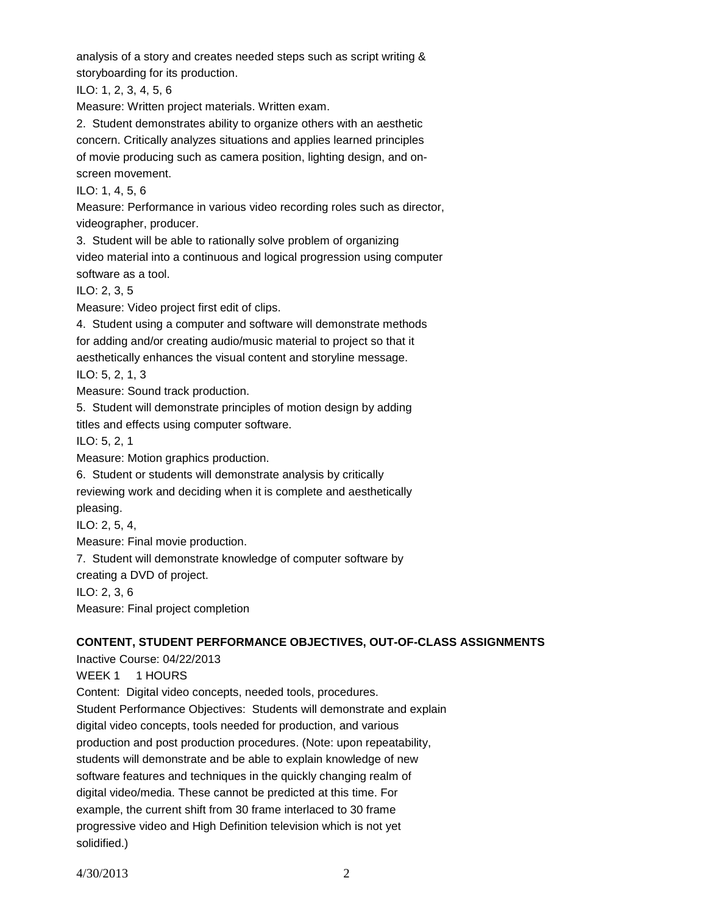analysis of a story and creates needed steps such as script writing & storyboarding for its production.

ILO: 1, 2, 3, 4, 5, 6

Measure: Written project materials. Written exam.

2. Student demonstrates ability to organize others with an aesthetic concern. Critically analyzes situations and applies learned principles of movie producing such as camera position, lighting design, and onscreen movement.

ILO: 1, 4, 5, 6

Measure: Performance in various video recording roles such as director, videographer, producer.

3. Student will be able to rationally solve problem of organizing video material into a continuous and logical progression using computer software as a tool.

ILO: 2, 3, 5

Measure: Video project first edit of clips.

4. Student using a computer and software will demonstrate methods for adding and/or creating audio/music material to project so that it aesthetically enhances the visual content and storyline message.

ILO: 5, 2, 1, 3

Measure: Sound track production.

5. Student will demonstrate principles of motion design by adding titles and effects using computer software.

ILO: 5, 2, 1

Measure: Motion graphics production.

6. Student or students will demonstrate analysis by critically

reviewing work and deciding when it is complete and aesthetically pleasing.

ILO: 2, 5, 4,

Measure: Final movie production.

7. Student will demonstrate knowledge of computer software by creating a DVD of project.

ILO: 2, 3, 6

Measure: Final project completion

# **CONTENT, STUDENT PERFORMANCE OBJECTIVES, OUT-OF-CLASS ASSIGNMENTS**

Inactive Course: 04/22/2013 WEEK 1 1 HOURS Content: Digital video concepts, needed tools, procedures. Student Performance Objectives: Students will demonstrate and explain digital video concepts, tools needed for production, and various production and post production procedures. (Note: upon repeatability, students will demonstrate and be able to explain knowledge of new software features and techniques in the quickly changing realm of digital video/media. These cannot be predicted at this time. For example, the current shift from 30 frame interlaced to 30 frame progressive video and High Definition television which is not yet solidified.)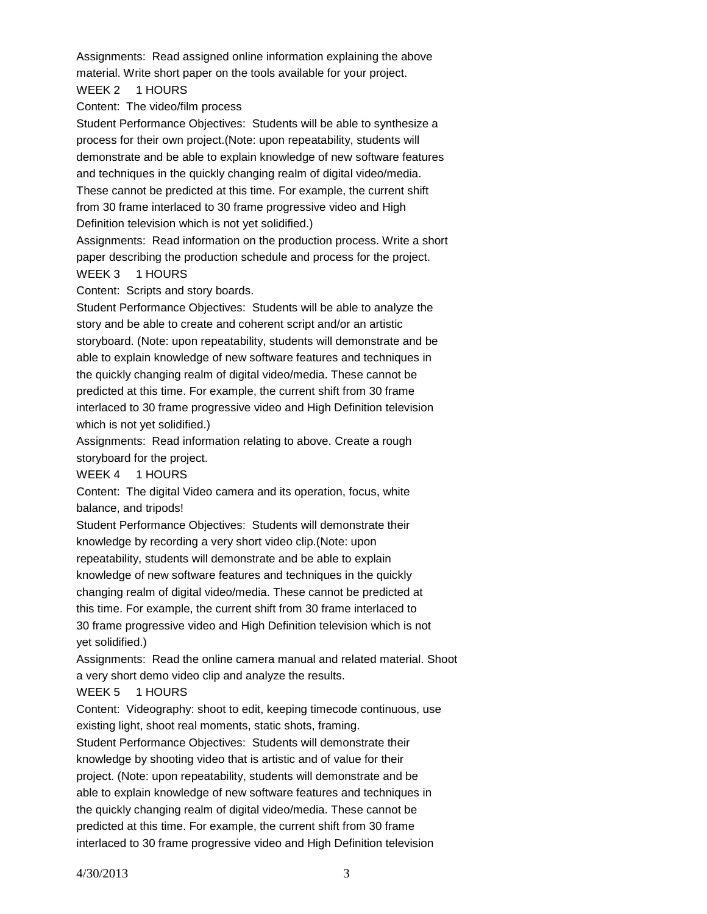Assignments: Read assigned online information explaining the above material. Write short paper on the tools available for your project. WEEK 2 1 HOURS

Content: The video/film process

Student Performance Objectives: Students will be able to synthesize a process for their own project.(Note: upon repeatability, students will demonstrate and be able to explain knowledge of new software features and techniques in the quickly changing realm of digital video/media. These cannot be predicted at this time. For example, the current shift from 30 frame interlaced to 30 frame progressive video and High Definition television which is not yet solidified.)

Assignments: Read information on the production process. Write a short paper describing the production schedule and process for the project.

# WEEK 3 1 HOURS

Content: Scripts and story boards.

Student Performance Objectives: Students will be able to analyze the story and be able to create and coherent script and/or an artistic storyboard. (Note: upon repeatability, students will demonstrate and be able to explain knowledge of new software features and techniques in the quickly changing realm of digital video/media. These cannot be predicted at this time. For example, the current shift from 30 frame interlaced to 30 frame progressive video and High Definition television which is not yet solidified.)

Assignments: Read information relating to above. Create a rough storyboard for the project.

WEEK 4 1 HOURS

Content: The digital Video camera and its operation, focus, white balance, and tripods!

Student Performance Objectives: Students will demonstrate their knowledge by recording a very short video clip.(Note: upon repeatability, students will demonstrate and be able to explain knowledge of new software features and techniques in the quickly changing realm of digital video/media. These cannot be predicted at this time. For example, the current shift from 30 frame interlaced to 30 frame progressive video and High Definition television which is not yet solidified.)

Assignments: Read the online camera manual and related material. Shoot a very short demo video clip and analyze the results.

# WEEK 5 1 HOURS

Content: Videography: shoot to edit, keeping timecode continuous, use existing light, shoot real moments, static shots, framing.

Student Performance Objectives: Students will demonstrate their knowledge by shooting video that is artistic and of value for their project. (Note: upon repeatability, students will demonstrate and be able to explain knowledge of new software features and techniques in the quickly changing realm of digital video/media. These cannot be predicted at this time. For example, the current shift from 30 frame interlaced to 30 frame progressive video and High Definition television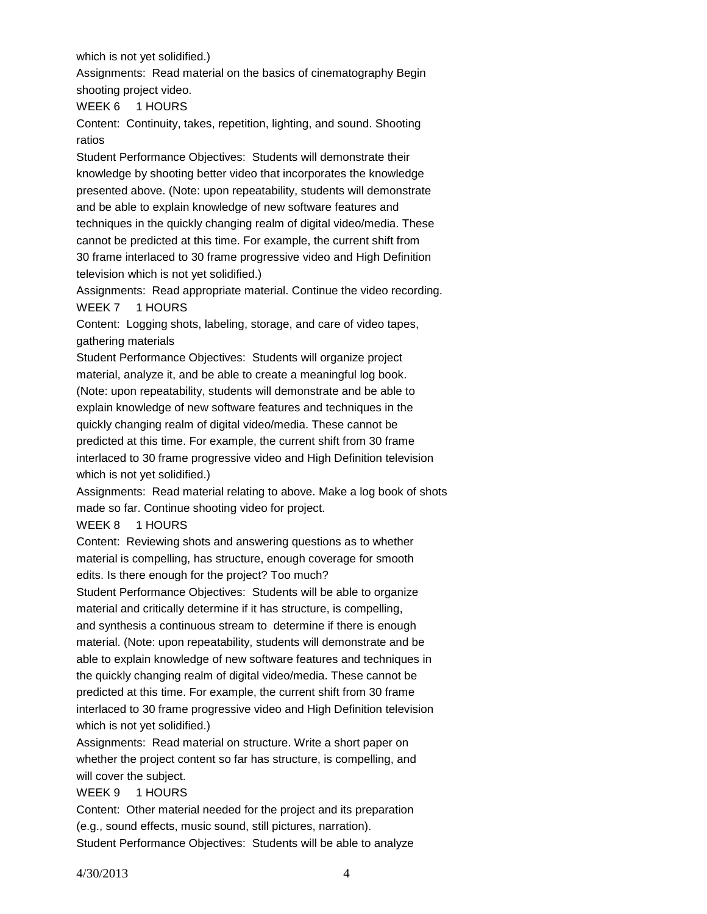which is not yet solidified.)

Assignments: Read material on the basics of cinematography Begin shooting project video.

WEEK 6 1 HOURS

Content: Continuity, takes, repetition, lighting, and sound. Shooting ratios

Student Performance Objectives: Students will demonstrate their knowledge by shooting better video that incorporates the knowledge presented above. (Note: upon repeatability, students will demonstrate and be able to explain knowledge of new software features and techniques in the quickly changing realm of digital video/media. These cannot be predicted at this time. For example, the current shift from 30 frame interlaced to 30 frame progressive video and High Definition television which is not yet solidified.)

Assignments: Read appropriate material. Continue the video recording. WEEK 7 1 HOURS

Content: Logging shots, labeling, storage, and care of video tapes, gathering materials

Student Performance Objectives: Students will organize project material, analyze it, and be able to create a meaningful log book. (Note: upon repeatability, students will demonstrate and be able to explain knowledge of new software features and techniques in the quickly changing realm of digital video/media. These cannot be predicted at this time. For example, the current shift from 30 frame interlaced to 30 frame progressive video and High Definition television which is not yet solidified.)

Assignments: Read material relating to above. Make a log book of shots made so far. Continue shooting video for project.

#### WEEK 8 1 HOURS

Content: Reviewing shots and answering questions as to whether material is compelling, has structure, enough coverage for smooth edits. Is there enough for the project? Too much?

Student Performance Objectives: Students will be able to organize material and critically determine if it has structure, is compelling, and synthesis a continuous stream to determine if there is enough material. (Note: upon repeatability, students will demonstrate and be able to explain knowledge of new software features and techniques in the quickly changing realm of digital video/media. These cannot be predicted at this time. For example, the current shift from 30 frame interlaced to 30 frame progressive video and High Definition television which is not yet solidified.)

Assignments: Read material on structure. Write a short paper on whether the project content so far has structure, is compelling, and will cover the subject.

# WEEK 9 1 HOURS

Content: Other material needed for the project and its preparation (e.g., sound effects, music sound, still pictures, narration). Student Performance Objectives: Students will be able to analyze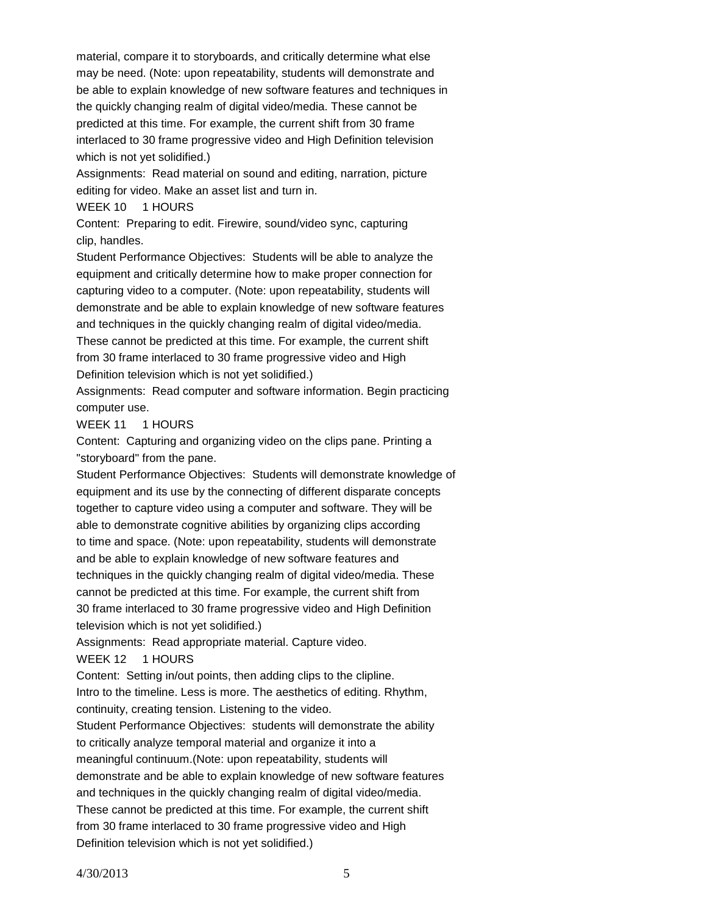material, compare it to storyboards, and critically determine what else may be need. (Note: upon repeatability, students will demonstrate and be able to explain knowledge of new software features and techniques in the quickly changing realm of digital video/media. These cannot be predicted at this time. For example, the current shift from 30 frame interlaced to 30 frame progressive video and High Definition television which is not yet solidified.)

Assignments: Read material on sound and editing, narration, picture editing for video. Make an asset list and turn in.

WEEK 10 1 HOURS

Content: Preparing to edit. Firewire, sound/video sync, capturing clip, handles.

Student Performance Objectives: Students will be able to analyze the equipment and critically determine how to make proper connection for capturing video to a computer. (Note: upon repeatability, students will demonstrate and be able to explain knowledge of new software features and techniques in the quickly changing realm of digital video/media. These cannot be predicted at this time. For example, the current shift from 30 frame interlaced to 30 frame progressive video and High Definition television which is not yet solidified.)

Assignments: Read computer and software information. Begin practicing computer use.

# WEEK 11 1 HOURS

Content: Capturing and organizing video on the clips pane. Printing a "storyboard" from the pane.

Student Performance Objectives: Students will demonstrate knowledge of equipment and its use by the connecting of different disparate concepts together to capture video using a computer and software. They will be able to demonstrate cognitive abilities by organizing clips according to time and space. (Note: upon repeatability, students will demonstrate and be able to explain knowledge of new software features and techniques in the quickly changing realm of digital video/media. These cannot be predicted at this time. For example, the current shift from 30 frame interlaced to 30 frame progressive video and High Definition television which is not yet solidified.)

Assignments: Read appropriate material. Capture video.

# WEEK 12 1 HOURS

Content: Setting in/out points, then adding clips to the clipline. Intro to the timeline. Less is more. The aesthetics of editing. Rhythm, continuity, creating tension. Listening to the video.

Student Performance Objectives: students will demonstrate the ability to critically analyze temporal material and organize it into a meaningful continuum.(Note: upon repeatability, students will demonstrate and be able to explain knowledge of new software features and techniques in the quickly changing realm of digital video/media. These cannot be predicted at this time. For example, the current shift from 30 frame interlaced to 30 frame progressive video and High Definition television which is not yet solidified.)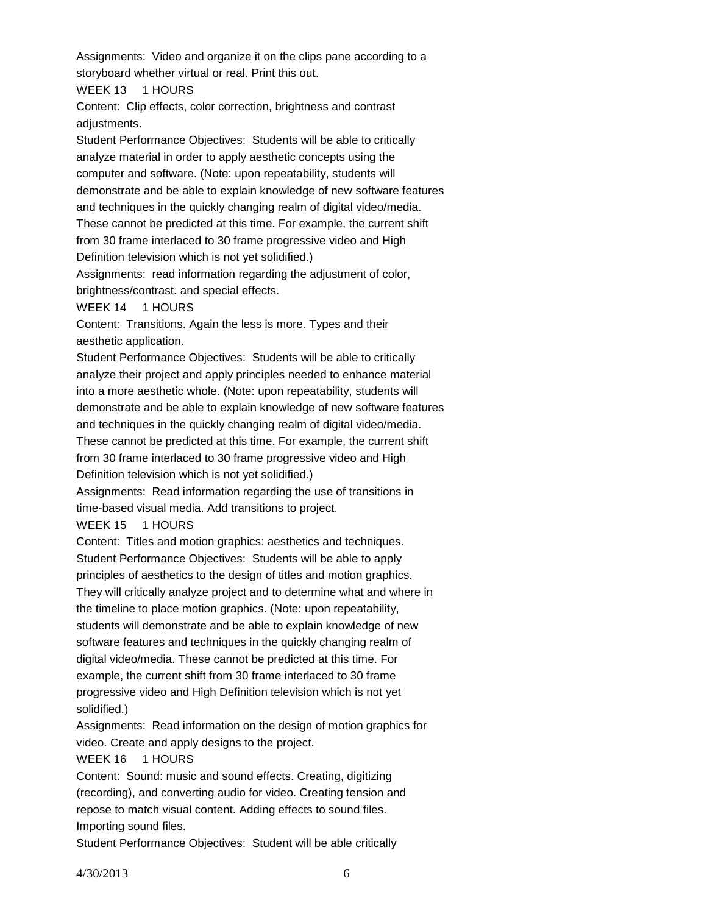Assignments: Video and organize it on the clips pane according to a storyboard whether virtual or real. Print this out.

WEEK 13 1 HOURS

Content: Clip effects, color correction, brightness and contrast adjustments.

Student Performance Objectives: Students will be able to critically analyze material in order to apply aesthetic concepts using the computer and software. (Note: upon repeatability, students will demonstrate and be able to explain knowledge of new software features and techniques in the quickly changing realm of digital video/media. These cannot be predicted at this time. For example, the current shift from 30 frame interlaced to 30 frame progressive video and High Definition television which is not yet solidified.)

Assignments: read information regarding the adjustment of color, brightness/contrast. and special effects.

#### WEEK 14 1 HOURS

Content: Transitions. Again the less is more. Types and their aesthetic application.

Student Performance Objectives: Students will be able to critically analyze their project and apply principles needed to enhance material into a more aesthetic whole. (Note: upon repeatability, students will demonstrate and be able to explain knowledge of new software features and techniques in the quickly changing realm of digital video/media. These cannot be predicted at this time. For example, the current shift from 30 frame interlaced to 30 frame progressive video and High

Definition television which is not yet solidified.)

Assignments: Read information regarding the use of transitions in time-based visual media. Add transitions to project.

# WEEK 15 1 HOURS

Content: Titles and motion graphics: aesthetics and techniques. Student Performance Objectives: Students will be able to apply principles of aesthetics to the design of titles and motion graphics. They will critically analyze project and to determine what and where in the timeline to place motion graphics. (Note: upon repeatability, students will demonstrate and be able to explain knowledge of new software features and techniques in the quickly changing realm of digital video/media. These cannot be predicted at this time. For example, the current shift from 30 frame interlaced to 30 frame

progressive video and High Definition television which is not yet solidified.)

Assignments: Read information on the design of motion graphics for video. Create and apply designs to the project.

# WEEK 16 1 HOURS

Content: Sound: music and sound effects. Creating, digitizing (recording), and converting audio for video. Creating tension and repose to match visual content. Adding effects to sound files. Importing sound files.

Student Performance Objectives: Student will be able critically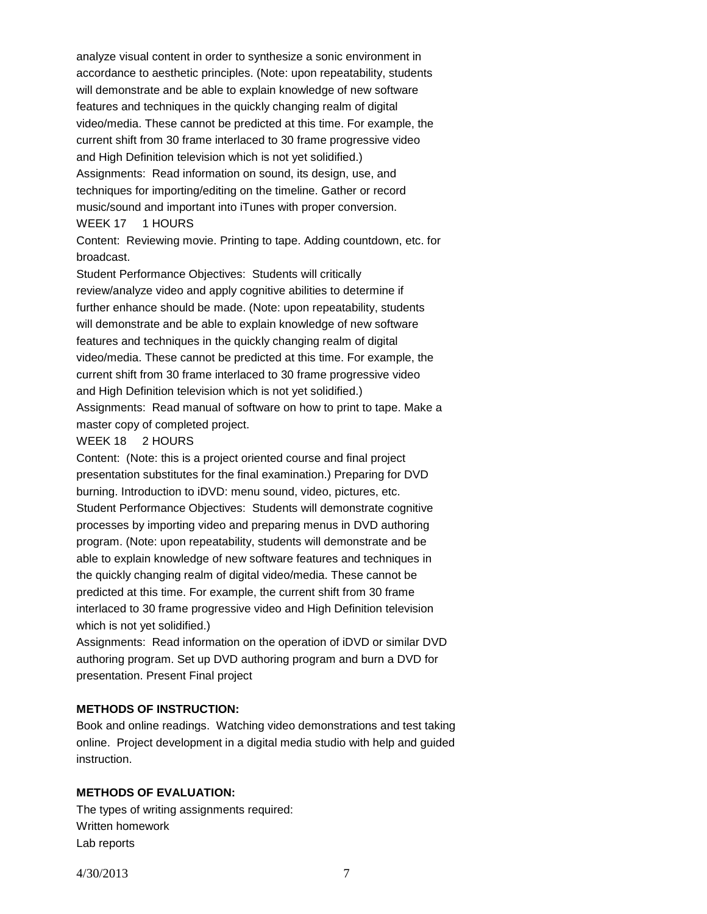analyze visual content in order to synthesize a sonic environment in accordance to aesthetic principles. (Note: upon repeatability, students will demonstrate and be able to explain knowledge of new software features and techniques in the quickly changing realm of digital video/media. These cannot be predicted at this time. For example, the current shift from 30 frame interlaced to 30 frame progressive video and High Definition television which is not yet solidified.) Assignments: Read information on sound, its design, use, and techniques for importing/editing on the timeline. Gather or record music/sound and important into iTunes with proper conversion. WEEK 17 1 HOURS

Content: Reviewing movie. Printing to tape. Adding countdown, etc. for broadcast.

Student Performance Objectives: Students will critically review/analyze video and apply cognitive abilities to determine if further enhance should be made. (Note: upon repeatability, students will demonstrate and be able to explain knowledge of new software features and techniques in the quickly changing realm of digital video/media. These cannot be predicted at this time. For example, the current shift from 30 frame interlaced to 30 frame progressive video and High Definition television which is not yet solidified.) Assignments: Read manual of software on how to print to tape. Make a master copy of completed project.

#### WEEK 18 2 HOURS

Content: (Note: this is a project oriented course and final project presentation substitutes for the final examination.) Preparing for DVD burning. Introduction to iDVD: menu sound, video, pictures, etc. Student Performance Objectives: Students will demonstrate cognitive processes by importing video and preparing menus in DVD authoring program. (Note: upon repeatability, students will demonstrate and be able to explain knowledge of new software features and techniques in the quickly changing realm of digital video/media. These cannot be predicted at this time. For example, the current shift from 30 frame interlaced to 30 frame progressive video and High Definition television which is not yet solidified.)

Assignments: Read information on the operation of iDVD or similar DVD authoring program. Set up DVD authoring program and burn a DVD for presentation. Present Final project

# **METHODS OF INSTRUCTION:**

Book and online readings. Watching video demonstrations and test taking online. Project development in a digital media studio with help and guided instruction.

# **METHODS OF EVALUATION:**

The types of writing assignments required: Written homework Lab reports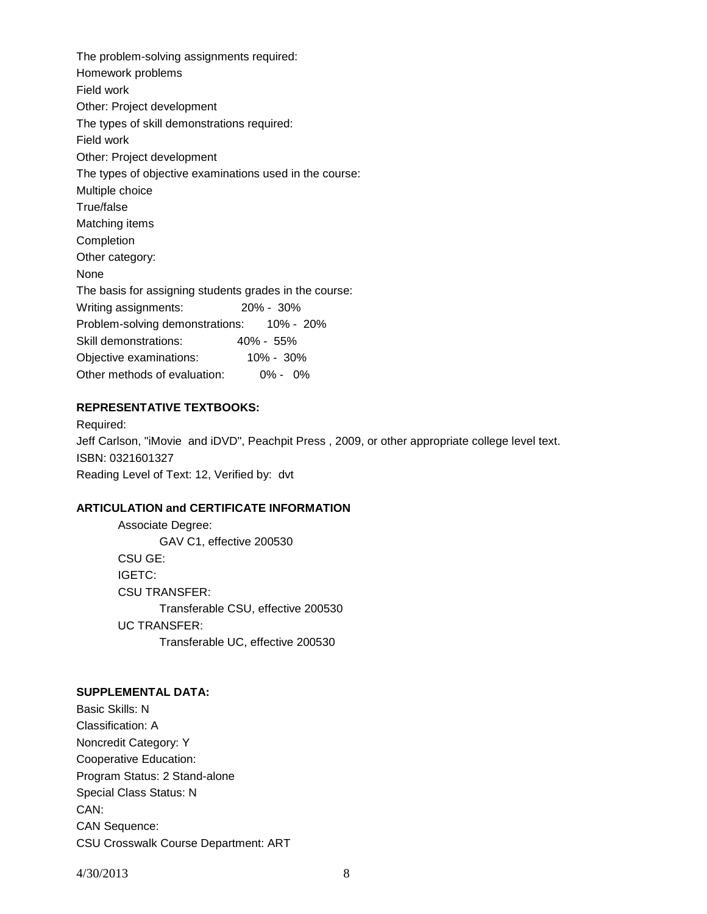The problem-solving assignments required: Homework problems Field work Other: Project development The types of skill demonstrations required: Field work Other: Project development The types of objective examinations used in the course: Multiple choice True/false Matching items Completion Other category: None The basis for assigning students grades in the course: Writing assignments: 20% - 30% Problem-solving demonstrations: 10% - 20% Skill demonstrations: 40% - 55% Objective examinations: 10% - 30% Other methods of evaluation: 0% - 0%

#### **REPRESENTATIVE TEXTBOOKS:**

Required: Jeff Carlson, "iMovie and iDVD", Peachpit Press , 2009, or other appropriate college level text. ISBN: 0321601327 Reading Level of Text: 12, Verified by: dvt

#### **ARTICULATION and CERTIFICATE INFORMATION**

Associate Degree: GAV C1, effective 200530 CSU GE: IGETC: CSU TRANSFER: Transferable CSU, effective 200530 UC TRANSFER: Transferable UC, effective 200530

# **SUPPLEMENTAL DATA:**

Basic Skills: N Classification: A Noncredit Category: Y Cooperative Education: Program Status: 2 Stand-alone Special Class Status: N CAN: CAN Sequence: CSU Crosswalk Course Department: ART